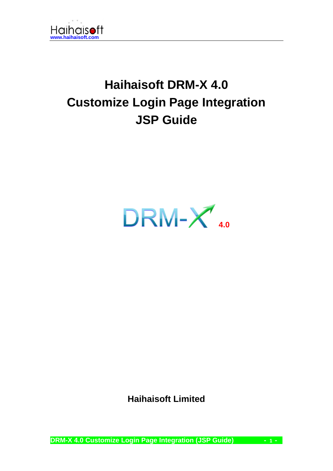

# **Haihaisoft DRM-X 4.0 Customize Login Page Integration JSP Guide**



**Haihaisoft Limited**

**DRM-X 4.0 Customize Login Page Integration (JSP Guide) - 1 -**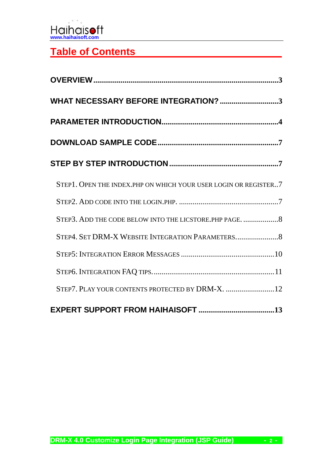# **Table of Contents**

| WHAT NECESSARY BEFORE INTEGRATION? 3                            |
|-----------------------------------------------------------------|
|                                                                 |
|                                                                 |
|                                                                 |
| STEP1. OPEN THE INDEX.PHP ON WHICH YOUR USER LOGIN OR REGISTER7 |
|                                                                 |
| STEP3. ADD THE CODE BELOW INTO THE LICSTORE. PHP PAGE. 8        |
|                                                                 |
|                                                                 |
|                                                                 |
| STEP7. PLAY YOUR CONTENTS PROTECTED BY DRM-X. 12                |
|                                                                 |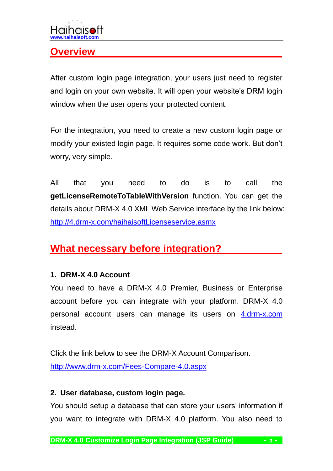## <span id="page-2-0"></span>**Overview**

After custom login page integration, your users just need to register and login on your own website. It will open your website's DRM login window when the user opens your protected content.

For the integration, you need to create a new custom login page or modify your existed login page. It requires some code work. But don't worry, very simple.

All that you need to do is to call the **getLicenseRemoteToTableWithVersion** function. You can get the details about DRM-X 4.0 XML Web Service interface by the link below: <http://4.drm-x.com/haihaisoftLicenseservice.asmx>

## <span id="page-2-1"></span>**What necessary before integration?**

#### **1. DRM-X 4.0 Account**

You need to have a DRM-X 4.0 Premier, Business or Enterprise account before you can integrate with your platform. DRM-X 4.0 personal account users can manage its users on [4.drm-x.com](http://4.drm-x.com/) instead.

Click the link below to see the DRM-X Account Comparison. <http://www.drm-x.com/Fees-Compare-4.0.aspx>

#### **2. User database, custom login page.**

You should setup a database that can store your users' information if you want to integrate with DRM-X 4.0 platform. You also need to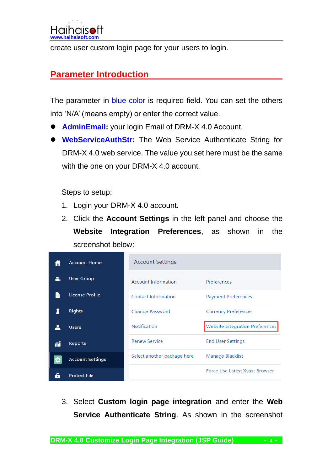<span id="page-3-0"></span>create user custom login page for your users to login.

## **Parameter Introduction**

The parameter in blue color is required field. You can set the others into 'N/A' (means empty) or enter the correct value.

- ⚫ **AdminEmail:** your login Email of DRM-X 4.0 Account.
- ⚫ **WebServiceAuthStr:** The Web Service Authenticate String for DRM-X 4.0 web service. The value you set here must be the same with the one on your DRM-X 4.0 account.

Steps to setup:

- 1. Login your DRM-X 4.0 account.
- 2. Click the **Account Settings** in the left panel and choose the **Website Integration Preferences**, as shown in the screenshot below:

|   | <b>Account Home</b>     | <b>Account Settings</b>     |                                        |
|---|-------------------------|-----------------------------|----------------------------------------|
|   | <b>User Group</b>       | <b>Account Information</b>  | Preferences                            |
|   | License Profile         | <b>Contact Information</b>  | <b>Payment Preferences</b>             |
|   | <b>Rights</b>           | <b>Change Password</b>      | <b>Currency Preferences</b>            |
|   | <b>Users</b>            | <b>Notification</b>         | <b>Website Integration Preferences</b> |
|   |                         |                             |                                        |
|   | <b>Reports</b>          | <b>Renew Service</b>        | <b>End User Settings</b>               |
| ю | <b>Account Settings</b> | Select another package here | Manage Blacklist                       |

3. Select **Custom login page integration** and enter the **Web Service Authenticate String**. As shown in the screenshot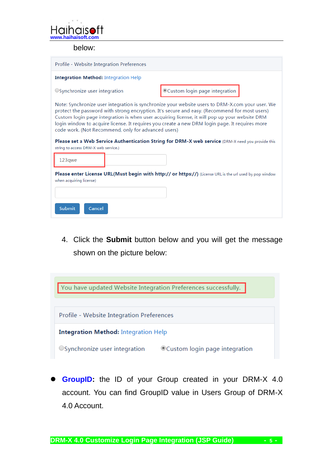

below:

| Profile - Website Integration Preferences                                                                                                                                                                                                                                                                                                                                                                                                                                                                                                                       |                                                                                                          |  |  |  |  |
|-----------------------------------------------------------------------------------------------------------------------------------------------------------------------------------------------------------------------------------------------------------------------------------------------------------------------------------------------------------------------------------------------------------------------------------------------------------------------------------------------------------------------------------------------------------------|----------------------------------------------------------------------------------------------------------|--|--|--|--|
| <b>Integration Method: Integration Help</b>                                                                                                                                                                                                                                                                                                                                                                                                                                                                                                                     |                                                                                                          |  |  |  |  |
| $\bigcirc$ Synchronize user integration                                                                                                                                                                                                                                                                                                                                                                                                                                                                                                                         | Custom login page integration                                                                            |  |  |  |  |
| Note: Synchronize user integration is synchronize your website users to DRM-X.com your user. We<br>protect the password with strong encryption. It's secure and easy. (Recommend for most users)<br>Custom login page integration is when user acquiring license, it will pop up your website DRM<br>login window to acquire license. It requires you create a new DRM login page. It requires more<br>code work. (Not Recommend, only for advanced users)<br>Please set a Web Service Authentication String for DRM-X web service (DRM-X need you provide this |                                                                                                          |  |  |  |  |
| string to access DRM-X web service.)                                                                                                                                                                                                                                                                                                                                                                                                                                                                                                                            |                                                                                                          |  |  |  |  |
| 123qwe                                                                                                                                                                                                                                                                                                                                                                                                                                                                                                                                                          |                                                                                                          |  |  |  |  |
| when acquiring license)                                                                                                                                                                                                                                                                                                                                                                                                                                                                                                                                         | Please enter License URL(Must begin with http:// or https://) (License URL is the url used by pop window |  |  |  |  |
| <b>Submit</b><br>Cancel                                                                                                                                                                                                                                                                                                                                                                                                                                                                                                                                         |                                                                                                          |  |  |  |  |

4. Click the **Submit** button below and you will get the message shown on the picture below:



GroupID: the ID of your Group created in your DRM-X 4.0 account. You can find GroupID value in Users Group of DRM-X 4.0 Account.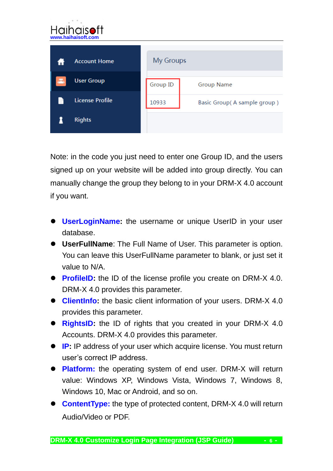

Note: in the code you just need to enter one Group ID, and the users signed up on your website will be added into group directly. You can manually change the group they belong to in your DRM-X 4.0 account if you want.

- ⚫ **UserLoginName:** the username or unique UserID in your user database.
- ⚫ **UserFullName**: The Full Name of User. This parameter is option. You can leave this UserFullName parameter to blank, or just set it value to N/A.
- **ProfileID:** the ID of the license profile you create on DRM-X 4.0. DRM-X 4.0 provides this parameter.
- ⚫ **ClientInfo:** the basic client information of your users. DRM-X 4.0 provides this parameter.
- **RightsID:** the ID of rights that you created in your DRM-X 4.0 Accounts. DRM-X 4.0 provides this parameter.
- **IP:** IP address of your user which acquire license. You must return user's correct IP address.
- **Platform:** the operating system of end user. DRM-X will return value: Windows XP, Windows Vista, Windows 7, Windows 8, Windows 10, Mac or Android, and so on.
- ⚫ **ContentType:** the type of protected content, DRM-X 4.0 will return Audio/Video or PDF.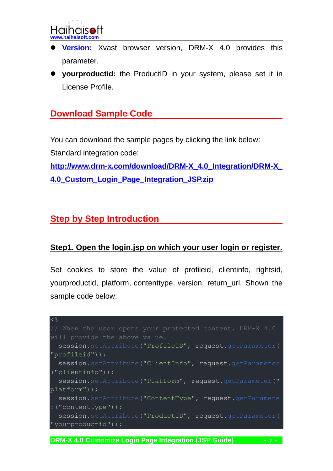

- ⚫ **Version:** Xvast browser version, DRM-X 4.0 provides this parameter.
- ⚫ **yourproductid:** the ProductID in your system, please set it in License Profile.

## <span id="page-6-0"></span>**Download Sample Code**

You can download the sample pages by clicking the link below: Standard integration code:

**[http://www.drm-x.com/download/DRM-X\\_4.0\\_Integration/DRM-X\\_](http://www.drm-x.com/download/DRM-X_4.0_Integration/DRM-X_4.0_Custom_Login_Page_Integration_JSP.zip) [4.0\\_Custom\\_Login\\_Page\\_Integration\\_JSP.zip](http://www.drm-x.com/download/DRM-X_4.0_Integration/DRM-X_4.0_Custom_Login_Page_Integration_JSP.zip)**

### <span id="page-6-1"></span>**Step by Step Introduction**

#### <span id="page-6-2"></span>**Step1. Open the login.jsp on which your user login or register.**

Set cookies to store the value of profileid, clientinfo, rightsid, yourproductid, platform, contenttype, version, return\_url. Shown the sample code below:

```
\lt \congwill provide the above value.
 session.setAttribute("ProfileID", request.getParameter(
"profileid"));
 session.setAttribute("ClientInfo", request.getParameter
("clientinfo"));
 session.setAttribute("Platform", request.getParameter("
platform"));
 session.setAttribute("ContentType", request.getParamete
r("contenttype"));
 session.setAttribute("ProductID", request.getParameter(
"yourproductid"));
```
**DRM-X 4.0 Customize Login Page Integration (JSP Guide) - 7 -**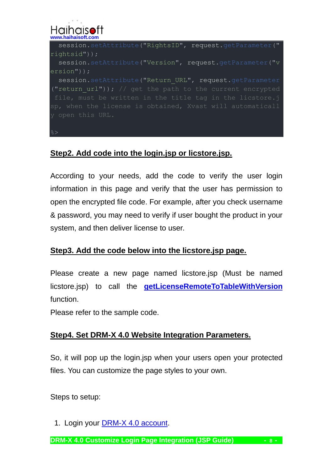## Haihais **[www.haihaisoft.com](http://www.haihaisoft.com/)**

session.setAttribute("RightsID", request.getParameter(" rightsid")); session.setAttribute("Version", request.getParameter("v ersion")); session.setAttribute("Return URL", request.getParameter ("return url")); // get the path to the current encrypted y open this URL.

### **Step2. Add code into the login.jsp or licstore.jsp.**

According to your needs, add the code to verify the user login information in this page and verify that the user has permission to open the encrypted file code. For example, after you check username & password, you may need to verify if user bought the product in your system, and then deliver license to user.

#### <span id="page-7-0"></span>**Step3. Add the code below into the licstore.jsp page.**

Please create a new page named licstore.jsp (Must be named licstore.jsp) to call the **[getLicenseRemoteToTableWithVersion](http://4.drm-x.com/haihaisoftLicenseservice.asmx?op=getLicenseRemoteToTableWithVersion)**  function.

Please refer to the sample code.

#### <span id="page-7-1"></span>**Step4. Set DRM-X 4.0 Website Integration Parameters.**

So, it will pop up the login.jsp when your users open your protected files. You can customize the page styles to your own.

Steps to setup:

1. Login your [DRM-X 4.0 account.](http://4.drm-x.com/)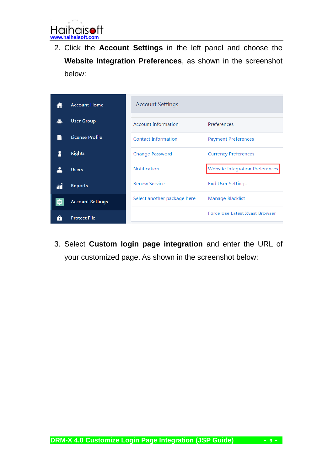ıft Haihais**c [www.haihaisoft.com](http://www.haihaisoft.com/)**

2. Click the **Account Settings** in the left panel and choose the **Website Integration Preferences**, as shown in the screenshot below:

|    | <b>Account Home</b>     | <b>Account Settings</b>     |                                        |
|----|-------------------------|-----------------------------|----------------------------------------|
|    |                         |                             |                                        |
|    | <b>User Group</b>       | <b>Account Information</b>  | Preferences                            |
|    | <b>License Profile</b>  | <b>Contact Information</b>  | <b>Payment Preferences</b>             |
|    | <b>Rights</b>           | <b>Change Password</b>      | <b>Currency Preferences</b>            |
|    | <b>Users</b>            | <b>Notification</b>         | <b>Website Integration Preferences</b> |
| íí | <b>Reports</b>          | <b>Renew Service</b>        | <b>End User Settings</b>               |
|    | <b>Account Settings</b> | Select another package here | Manage Blacklist                       |
|    |                         |                             |                                        |
|    | <b>Protect File</b>     |                             | <b>Force Use Latest Xvast Browser</b>  |

3. Select **Custom login page integration** and enter the URL of your customized page. As shown in the screenshot below: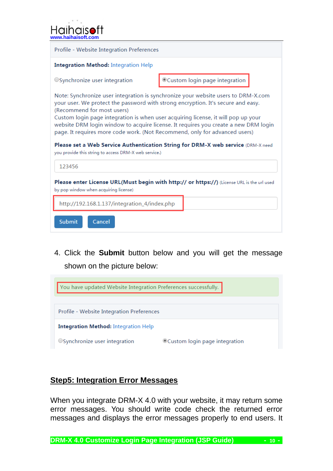| <b>Haihaisoft</b>  |  |
|--------------------|--|
|                    |  |
| www.haihaisoft.com |  |



4. Click the **Submit** button below and you will get the message shown on the picture below:



#### <span id="page-9-0"></span>**Step5: Integration Error Messages**

When you integrate DRM-X 4.0 with your website, it may return some error messages. You should write code check the returned error messages and displays the error messages properly to end users. It

**DRM-X 4.0 Customize Login Page Integration (JSP Guide)**  $\qquad \qquad$  **- 10 -**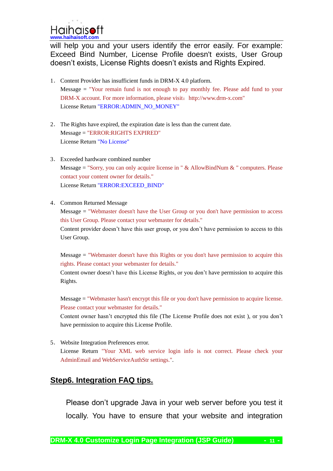Haihais **[www.haihaisoft.com](http://www.haihaisoft.com/)**

will help you and your users identify the error easily. For example: Exceed Bind Number, License Profile doesn't exists, User Group doesn't exists, License Rights doesn't exists and Rights Expired.

- 1. Content Provider has insufficient funds in DRM-X 4.0 platform. Message = "Your remain fund is not enough to pay monthly fee. Please add fund to your DRM-X account. For more information, please visit: http://www.drm-x.com" License Return "ERROR:ADMIN\_NO\_MONEY"
- 2. The Rights have expired, the expiration date is less than the current date. Message = "ERROR:RIGHTS EXPIRED" License Return "No License"
- 3. Exceeded hardware combined number Message = "Sorry, you can only acquire license in "  $\&$  AllowBindNum  $\&$  " computers. Please contact your content owner for details." License Return "ERROR:EXCEED\_BIND"
- 4. Common Returned Message

Message = "Webmaster doesn't have the User Group or you don't have permission to access this User Group. Please contact your webmaster for details."

Content provider doesn't have this user group, or you don't have permission to access to this User Group.

Message = "Webmaster doesn't have this Rights or you don't have permission to acquire this rights. Please contact your webmaster for details."

Content owner doesn't have this License Rights, or you don't have permission to acquire this Rights.

Message = "Webmaster hasn't encrypt this file or you don't have permission to acquire license. Please contact your webmaster for details."

Content owner hasn't encrypted this file (The License Profile does not exist ), or you don't have permission to acquire this License Profile.

5. Website Integration Preferences error. License Return "Your XML web service login info is not correct. Please check your AdminEmail and WebServiceAuthStr settings.".

#### <span id="page-10-0"></span>**Step6. Integration FAQ tips.**

Please don't upgrade Java in your web server before you test it locally. You have to ensure that your website and integration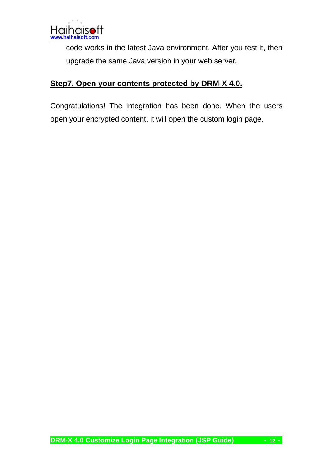code works in the latest Java environment. After you test it, then upgrade the same Java version in your web server.

### <span id="page-11-0"></span>**Step7. Open your contents protected by DRM-X 4.0.**

Congratulations! The integration has been done. When the users open your encrypted content, it will open the custom login page.